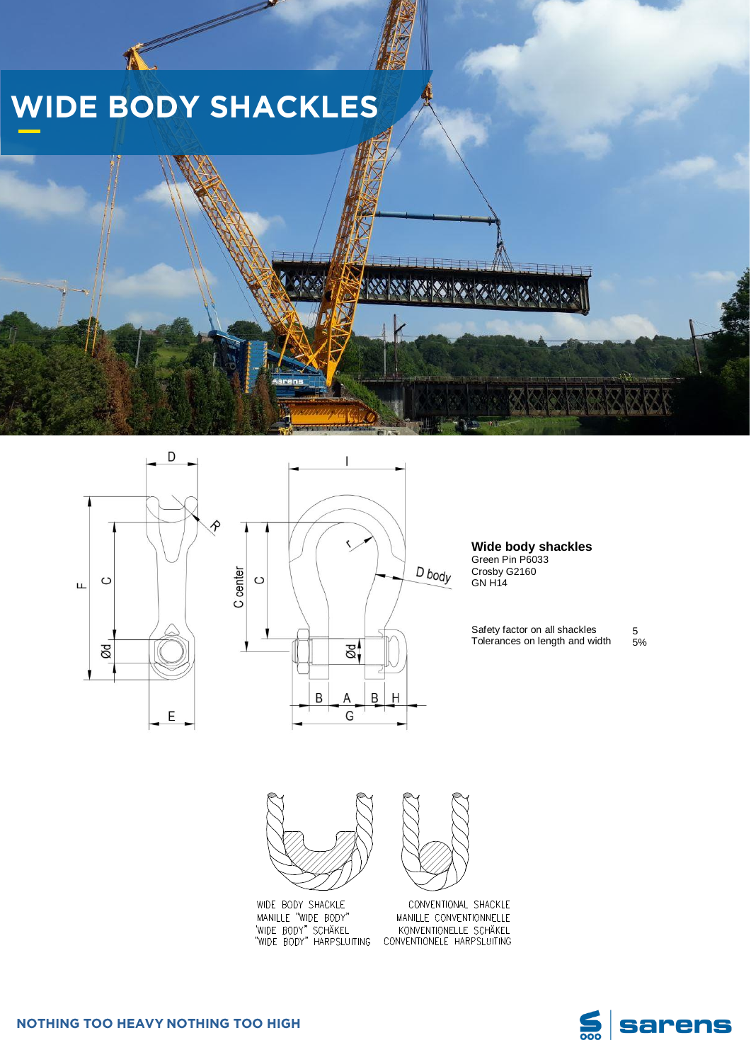## **WIDE BODY SHACKLES**





**Wide body shackles** Green Pin P6033 Crosby G2160 GN H14

Safety factor on all shackles Tolerances on length and width 5 5%





CONVENTIONAL SHACKLE MANILLE CONVENTIONNELLE KONVENTIONELLE SCHÄKEL